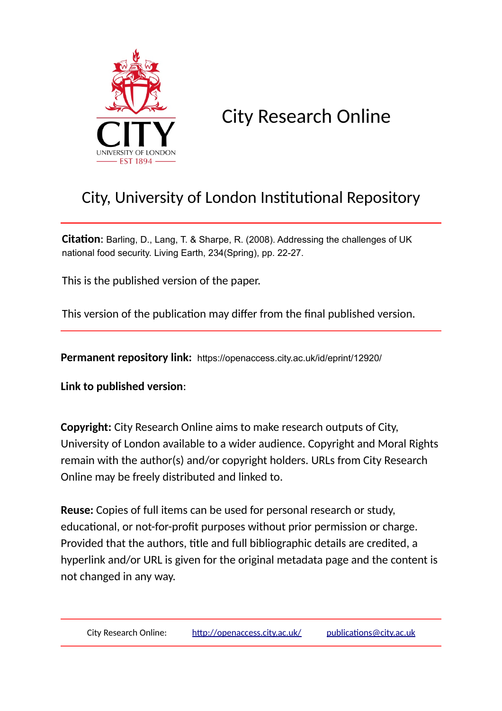

City Research Online

# City, University of London Institutional Repository

**Citation**: Barling, D., Lang, T. & Sharpe, R. (2008). Addressing the challenges of UK national food security. Living Earth, 234(Spring), pp. 22-27.

This is the published version of the paper.

This version of the publication may differ from the final published version.

**Permanent repository link:** https://openaccess.city.ac.uk/id/eprint/12920/

**Link to published version**:

**Copyright:** City Research Online aims to make research outputs of City, University of London available to a wider audience. Copyright and Moral Rights remain with the author(s) and/or copyright holders. URLs from City Research Online may be freely distributed and linked to.

**Reuse:** Copies of full items can be used for personal research or study, educational, or not-for-profit purposes without prior permission or charge. Provided that the authors, title and full bibliographic details are credited, a hyperlink and/or URL is given for the original metadata page and the content is not changed in any way.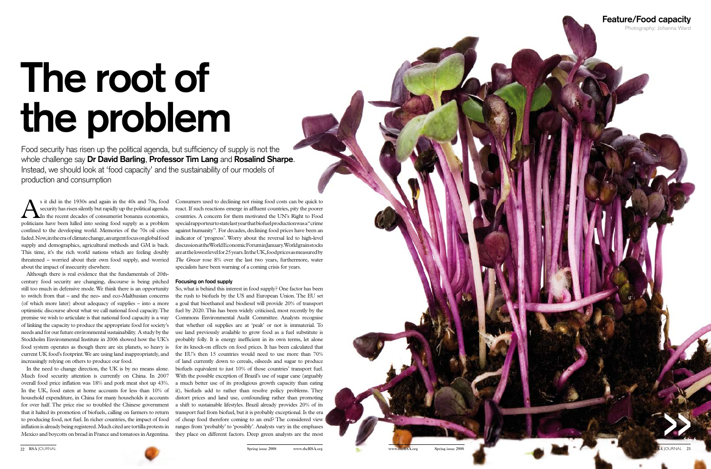Food security has risen up the political agenda, but sufficiency of supply is not the whole challenge say **Dr David Barling**, **Professor Tim Lang** and **Rosalind Sharpe**. Instead, we should look at 'food capacity' and the sustainability of our models of production and consumption

s it did in the 1930s and again in the 40s and 70s, food security has risen silently but rapidly up the political agenda.<br>In the recent decades of consumerist bonanza economics, politicians have been hulled into seeing foo security has risen silently but rapidly up the political agenda. politicians have been lulled into seeing food supply as a problem confined to the developing world. Memories of the 70s oil crises faded. Now, in the era of climate change, an urgent focus on global food supply and demographics, agricultural methods and GM is back. This time, it's the rich world nations which are feeling doubly about the impact of insecurity elsewhere.

Although there is real evidence that the fundamentals of 20thcentury food security are changing, discourse is being pitched **Focusing on food supply** still too much in defensive mode. We think there is an opportunity to switch from that – and the neo- and eco-Malthusian concerns (of which more later) about adequacy of supplies – into a more optimistic discourse about what we call national food capacity. The premise we wish to articulate is that national food capacity is a way of linking the capacity to produce the appropriate food for society's needs and for our future environmental sustainability. A study by the Stockholm Environmental Institute in 2006 showed how the UK's food system operates as though there are six planets, so heavy is increasingly relying on others to produce our food.

threatened – worried about their own food supply, and worried *The Grocer* rose 8% over the last two years, furthermore, water Consumers used to declining not rising food costs can be quick to react. If such reactions emerge in affluent countries, pity the poorer countries. A concern for them motivated the UN's Right to Food special rapporteur to state last year that biofuel production was a "crime against humanity". For decades, declining food prices have been an indicator of 'progress'. Worry about the reversal led to high-level discussion at the World Economic Forum in January. World grain stocks are at the lowest level for 25 years. In the UK, food prices as measured by specialists have been warning of a coming crisis for years.

In the need to change direction, the UK is by no means alone. Much food security attention is currently on China. In 2007 overall food price inflation was 18% and pork meat shot up 43%. In the UK, food eaten at home accounts for less than 10% of household expenditure, in China for many households it accounts for over half. The price rise so troubled the Chinese government that it halted its promotion of biofuels, calling on farmers to return to producing food, not fuel. In richer countries, the impact of food inflation is already being registered. Much cited are tortilla protests in Mexico and boycotts on bread in France and tomatoes in Argentina.

current UK food's footprint. We are using land inappropriately, and the EU's then 15 countries would need to use more than 70% So, what is behind this interest in food supply? One factor has been the rush to biofuels by the US and European Union. The EU set a goal that bioethanol and biodiesel will provide 20% of transport fuel by 2020. This has been widely criticised, most recently by the Commons Environmental Audit Committee. Analysts recognise that whether oil supplies are at 'peak' or not is immaterial. To use land previously available to grow food as a fuel substitute is probably folly. It is energy inefficient in its own terms, let alone for its knock-on effects on food prices. It has been calculated that of land currently down to cereals, oilseeds and sugar to produce biofuels equivalent to just 10% of those countries' transport fuel. With the possible exception of Brazil's use of sugar cane (arguably a much better use of its prodigious growth capacity than eating it), biofuels add to rather than resolve policy problems. They distort prices and land use, confounding rather than promoting a shift to sustainable lifestyles. Brazil already provides 20% of its transport fuel from biofuel, but it is probably exceptional. Is the era of cheap food therefore coming to an end? The considered view ranges from 'probably' to 'possibly'. Analysts vary in the emphases they place on different factors. Deep green analysts are the most



# **The root of the problem**

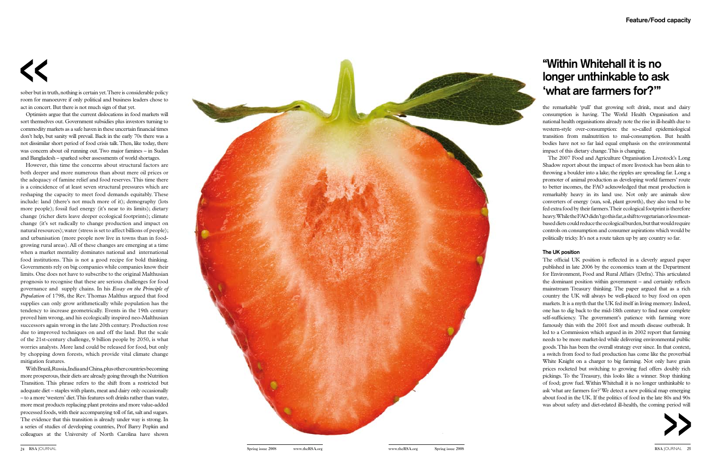sober but in truth, nothing is certain yet. There is considerable policy room for manoeuvre if only political and business leaders chose to act in concert. But there is not much sign of that yet.

Optimists argue that the current dislocations in food markets will sort themselves out. Government subsidies plus investors turning to commodity markets as a safe haven in these uncertain financial times don't help, but sanity will prevail. Back in the early 70s there was a not dissimilar short period of food crisis talk. Then, like today, there was concern about oil running out. Two major famines – in Sudan and Bangladesh – sparked sober assessments of world shortages.

However, this time the concerns about structural factors are both deeper and more numerous than about mere oil prices or the adequacy of famine relief and food reserves. This time there is a coincidence of at least seven structural pressures which are reshaping the capacity to meet food demands equitably. These include: land (there's not much more of it); demography (lots more people); fossil fuel energy (it's near to its limits); dietary change (richer diets leave deeper ecological footprints); climate change (it's set radically to change production and impact on natural resources); water (stress is set to affect billions of people); and urbanisation (more people now live in towns than in foodgrowing rural areas). All of these changes are emerging at a time when a market mentality dominates national and international food institutions. This is not a good recipe for bold thinking. Governments rely on big companies while companies know their limits. One does not have to subscribe to the original Malthusian prognosis to recognise that these are serious challenges for food governance and supply chains. In his *Essay on the Principle of Population* of 1798, the Rev. Thomas Malthus argued that food supplies can only grow arithmetically while population has the tendency to increase geometrically. Events in the 19th century proved him wrong, and his ecologically inspired neo-Malthusian successors again wrong in the late 20th century. Production rose due to improved techniques on and off the land. But the scale of the 21st-century challenge, 9 billion people by 2050, is what worries analysts. More land could be released for food, but only by chopping down forests, which provide vital climate change mitigation features.

With Brazil, Russia, India and China, plus other countries becoming more prosperous, their diets are already going through the Nutrition Transition. This phrase refers to the shift from a restricted but adequate diet – staples with plants, meat and dairy only occasionally – to a more 'western' diet. This features soft drinks rather than water, more meat products replacing plant proteins and more value-added processed foods, with their accompanying toll of fat, salt and sugars. The evidence that this transition is already under way is strong. In a series of studies of developing countries, Prof Barry Popkin and colleagues at the University of North Carolina have shown



## **"Within Whitehall it is no longer unthinkable to ask 'what are farmers for?'"**

the remarkable 'pull' that growing soft drink, meat and dairy consumption is having. The World Health Organisation and national health organisations already note the rise in ill-health due to western-style over-consumption: the so-called epidemiological transition from malnutrition to mal-consumption. But health bodies have not so far laid equal emphasis on the environmental impact of this dietary change. This is changing.

The 2007 Food and Agriculture Organisation Livestock's Long Shadow report about the impact of more livestock has been akin to throwing a boulder into a lake; the ripples are spreading far. Long a promoter of animal production as developing world farmers' route to better incomes, the FAO acknowledged that meat production is remarkably heavy in its land use. Not only are animals slow converters of energy (sun, soil, plant growth), they also tend to be fed extra food by their farmers. Their ecological footprint is therefore heavy. While the FAO didn't go this far, a shift to vegetarian or less meatbased diets could reduce the ecological burden, but that would require controls on consumption and consumer aspirations which would be politically tricky. It's not a route taken up by any country so far.

### **The UK position**

The official UK position is reflected in a cleverly argued paper published in late 2006 by the economics team at the Department for Environment, Food and Rural Affairs (Defra). This articulated the dominant position within government – and certainly reflects mainstream Treasury thinking. The paper argued that as a rich country the UK will always be well-placed to buy food on open markets. It is a myth that the UK fed itself in living memory. Indeed, one has to dig back to the mid-18th century to find near complete self-sufficiency. The government's patience with farming wore famously thin with the 2001 foot and mouth disease outbreak. It led to a Commission which argued in its 2002 report that farming needs to be more market-led while delivering environmental public goods. This has been the overall strategy ever since. In that context, a switch from food to fuel production has come like the proverbial White Knight on a charger to big farming. Not only have grain prices rocketed but switching to growing fuel offers doubly rich pickings. To the Treasury, this looks like a winner. Stop thinking of food; grow fuel. Within Whitehall it is no longer unthinkable to ask 'what are farmers for?' We detect a new political map emerging about food in the UK. If the politics of food in the late 80s and 90s was about safety and diet-related ill-health, the coming period will